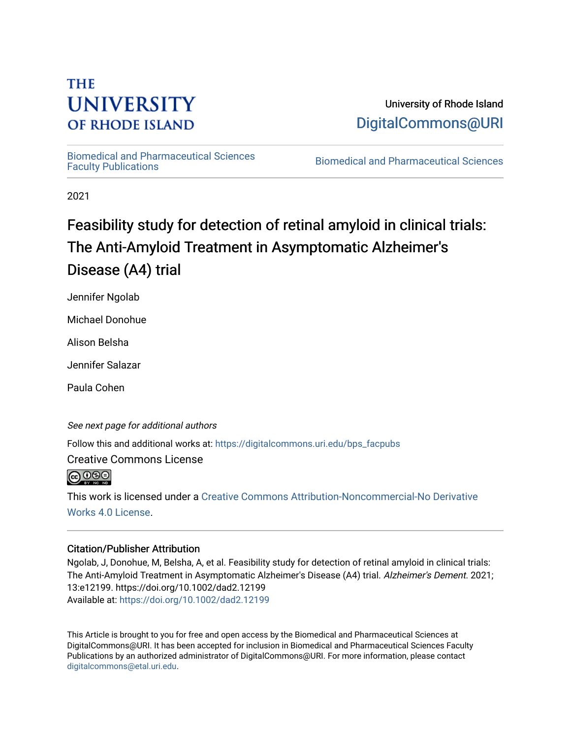# **THE UNIVERSITY OF RHODE ISLAND**

University of Rhode Island [DigitalCommons@URI](https://digitalcommons.uri.edu/) 

[Biomedical and Pharmaceutical Sciences](https://digitalcommons.uri.edu/bps_facpubs) 

Biomedical and Pharmaceutical Sciences

2021

# Feasibility study for detection of retinal amyloid in clinical trials: The Anti-Amyloid Treatment in Asymptomatic Alzheimer's Disease (A4) trial

Jennifer Ngolab

Michael Donohue

Alison Belsha

Jennifer Salazar

Paula Cohen

See next page for additional authors

Follow this and additional works at: [https://digitalcommons.uri.edu/bps\\_facpubs](https://digitalcommons.uri.edu/bps_facpubs?utm_source=digitalcommons.uri.edu%2Fbps_facpubs%2F234&utm_medium=PDF&utm_campaign=PDFCoverPages)

Creative Commons License

**@** 00

This work is licensed under a [Creative Commons Attribution-Noncommercial-No Derivative](https://creativecommons.org/licenses/by-nc-nd/4.0/)  [Works 4.0 License](https://creativecommons.org/licenses/by-nc-nd/4.0/).

# Citation/Publisher Attribution

Ngolab, J, Donohue, M, Belsha, A, et al. Feasibility study for detection of retinal amyloid in clinical trials: The Anti-Amyloid Treatment in Asymptomatic Alzheimer's Disease (A4) trial. Alzheimer's Dement. 2021; 13:e12199. https://doi.org/10.1002/dad2.12199 Available at:<https://doi.org/10.1002/dad2.12199>

This Article is brought to you for free and open access by the Biomedical and Pharmaceutical Sciences at DigitalCommons@URI. It has been accepted for inclusion in Biomedical and Pharmaceutical Sciences Faculty Publications by an authorized administrator of DigitalCommons@URI. For more information, please contact [digitalcommons@etal.uri.edu](mailto:digitalcommons@etal.uri.edu).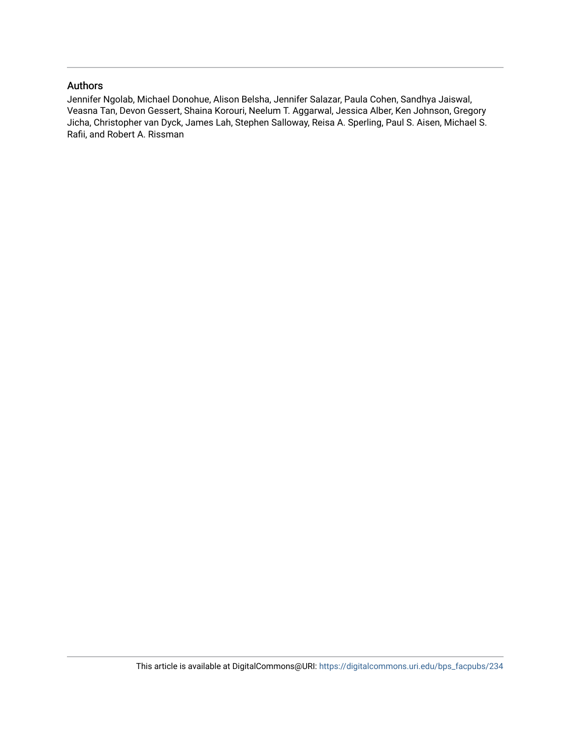## Authors

Jennifer Ngolab, Michael Donohue, Alison Belsha, Jennifer Salazar, Paula Cohen, Sandhya Jaiswal, Veasna Tan, Devon Gessert, Shaina Korouri, Neelum T. Aggarwal, Jessica Alber, Ken Johnson, Gregory Jicha, Christopher van Dyck, James Lah, Stephen Salloway, Reisa A. Sperling, Paul S. Aisen, Michael S. Rafii, and Robert A. Rissman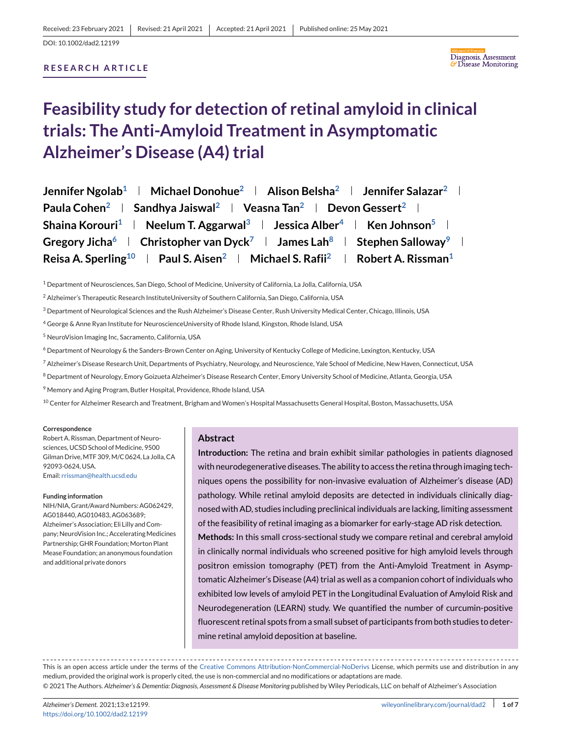## **RESEARCH ARTICLE**



# **Feasibility study for detection of retinal amyloid in clinical trials: The Anti-Amyloid Treatment in Asymptomatic Alzheimer's Disease (A4) trial**

| Jennifer Ngolab <sup>1</sup>   Michael Donohue <sup>2</sup>   Alison Belsha <sup>2</sup>   Jennifer Salazar <sup>2</sup>      |
|-------------------------------------------------------------------------------------------------------------------------------|
| Paula Cohen <sup>2</sup>   Sandhya Jaiswal <sup>2</sup>   Veasna Tan <sup>2</sup>   Devon Gessert <sup>2</sup>                |
| Shaina Korouri <sup>1</sup>   Neelum T. Aggarwal <sup>3</sup>   Jessica Alber <sup>4</sup>   Ken Johnson <sup>5</sup>         |
| Gregory Jicha <sup>6</sup>   Christopher van Dyck <sup>7</sup>   James Lah <sup>8</sup>   Stephen Salloway <sup>9</sup>       |
| Reisa A. Sperling <sup>10</sup>   Paul S. Aisen <sup>2</sup>   Michael S. Rafii <sup>2</sup>   Robert A. Rissman <sup>1</sup> |

<sup>1</sup> Department of Neurosciences, San Diego, School of Medicine, University of California, La Jolla, California, USA

<sup>3</sup> Department of Neurological Sciences and the Rush Alzheimer's Disease Center, Rush University Medical Center, Chicago, Illinois, USA

<sup>4</sup> George & Anne Ryan Institute for NeuroscienceUniversity of Rhode Island, Kingston, Rhode Island, USA

<sup>5</sup> NeuroVision Imaging Inc, Sacramento, California, USA

- <sup>6</sup> Department of Neurology & the Sanders-Brown Center on Aging, University of Kentucky College of Medicine, Lexington, Kentucky, USA
- <sup>7</sup> Alzheimer's Disease Research Unit, Departments of Psychiatry, Neurology, and Neuroscience, Yale School of Medicine, New Haven, Connecticut, USA
- 8 Department of Neurology, Emory Goizueta Alzheimer's Disease Research Center, Emory University School of Medicine, Atlanta, Georgia, USA
- <sup>9</sup> Memory and Aging Program, Butler Hospital, Providence, Rhode Island, USA

<sup>10</sup> Center for Alzheimer Research and Treatment, Brigham and Women's Hospital Massachusetts General Hospital, Boston, Massachusetts, USA

#### **Correspondence**

Robert A. Rissman, Department of Neurosciences, UCSD School of Medicine, 9500 Gilman Drive,MTF 309,M/C 0624, La Jolla, CA 92093-0624, USA. Email: [rrissman@health.ucsd.edu](mailto:rrissman@health.ucsd.edu)

#### **Funding information**

NIH/NIA, Grant/Award Numbers: AG062429, AG018440, AG010483, AG063689; Alzheimer's Association; Eli Lilly and Company: NeuroVision Inc.: Accelerating Medicines Partnership; GHR Foundation; Morton Plant Mease Foundation; an anonymous foundation and additional private donors

#### **Abstract**

**Introduction:** The retina and brain exhibit similar pathologies in patients diagnosed with neurodegenerative diseases. The ability to access the retina through imaging techniques opens the possibility for non-invasive evaluation of Alzheimer's disease (AD) pathology. While retinal amyloid deposits are detected in individuals clinically diagnosed with AD, studies including preclinical individuals are lacking, limiting assessment of the feasibility of retinal imaging as a biomarker for early-stage AD risk detection. **Methods:** In this small cross-sectional study we compare retinal and cerebral amyloid in clinically normal individuals who screened positive for high amyloid levels through positron emission tomography (PET) from the Anti-Amyloid Treatment in Asymptomatic Alzheimer's Disease (A4) trial as well as a companion cohort of individuals who exhibited low levels of amyloid PET in the Longitudinal Evaluation of Amyloid Risk and Neurodegeneration (LEARN) study. We quantified the number of curcumin-positive fluorescent retinal spots from a small subset of participants from both studies to determine retinal amyloid deposition at baseline.

This is an open access article under the terms of the [Creative Commons Attribution-NonCommercial-NoDerivs](http://creativecommons.org/licenses/by-nc-nd/4.0/) License, which permits use and distribution in any medium, provided the original work is properly cited, the use is non-commercial and no modifications or adaptations are made. © 2021 The Authors. *Alzheimer's & Dementia: Diagnosis, Assessment & Disease Monitoring* published by Wiley Periodicals, LLC on behalf of Alzheimer's Association

<sup>&</sup>lt;sup>2</sup> Alzheimer's Therapeutic Research InstituteUniversity of Southern California, San Diego, California, USA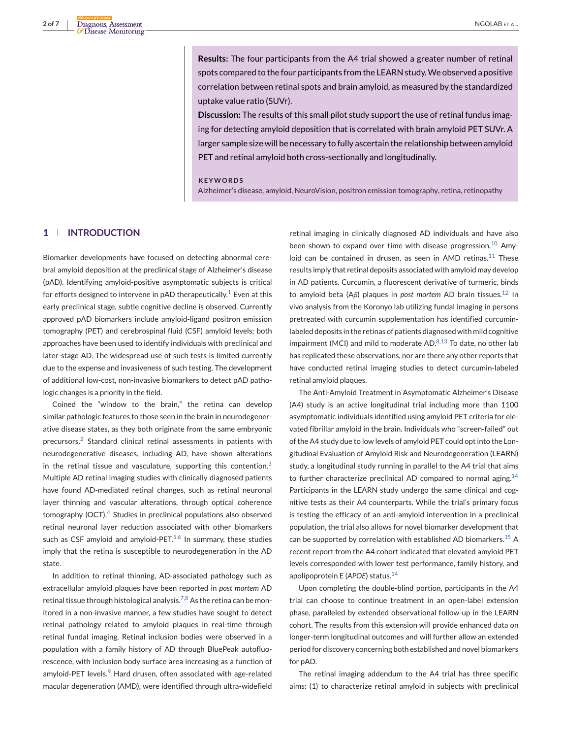**Results:** The four participants from the A4 trial showed a greater number of retinal spots compared to the four participants from the LEARN study.We observed a positive correlation between retinal spots and brain amyloid, as measured by the standardized uptake value ratio (SUVr).

**Discussion:** The results of this small pilot study support the use of retinal fundus imaging for detecting amyloid deposition that is correlated with brain amyloid PET SUVr. A larger sample size will be necessary to fully ascertain the relationship between amyloid PET and retinal amyloid both cross-sectionally and longitudinally.

#### **KEYWORDS**

Alzheimer's disease, amyloid, NeuroVision, positron emission tomography, retina, retinopathy

## **1 INTRODUCTION**

Biomarker developments have focused on detecting abnormal cerebral amyloid deposition at the preclinical stage of Alzheimer's disease (pAD). Identifying amyloid-positive asymptomatic subjects is critical for efforts designed to intervene in  $pAD$  therapeutically.<sup>[1](#page-8-0)</sup> Even at this early preclinical stage, subtle cognitive decline is observed. Currently approved pAD biomarkers include amyloid-ligand positron emission tomography (PET) and cerebrospinal fluid (CSF) amyloid levels; both approaches have been used to identify individuals with preclinical and later-stage AD. The widespread use of such tests is limited currently due to the expense and invasiveness of such testing. The development of additional low-cost, non-invasive biomarkers to detect pAD pathologic changes is a priority in the field.

Coined the "window to the brain," the retina can develop similar pathologic features to those seen in the brain in neurodegenerative disease states, as they both originate from the same embryonic precursors.[2](#page-8-0) Standard clinical retinal assessments in patients with neurodegenerative diseases, including AD, have shown alterations in the retinal tissue and vasculature, supporting this contention. $3$ Multiple AD retinal imaging studies with clinically diagnosed patients have found AD-mediated retinal changes, such as retinal neuronal layer thinning and vascular alterations, through optical coherence tomography (OCT).[4](#page-8-0) Studies in preclinical populations also observed retinal neuronal layer reduction associated with other biomarkers such as CSF amyloid and amyloid-PET. $5,6$  In summary, these studies imply that the retina is susceptible to neurodegeneration in the AD state.

In addition to retinal thinning, AD-associated pathology such as extracellular amyloid plaques have been reported in *post mortem* AD retinal tissue through histological analysis.<sup>[7,8](#page-8-0)</sup> As the retina can be monitored in a non-invasive manner, a few studies have sought to detect retinal pathology related to amyloid plaques in real-time through retinal fundal imaging. Retinal inclusion bodies were observed in a population with a family history of AD through BluePeak autofluorescence, with inclusion body surface area increasing as a function of amyloid-PET levels. $9$  Hard drusen, often associated with age-related macular degeneration (AMD), were identified through ultra-widefield

retinal imaging in clinically diagnosed AD individuals and have also been shown to expand over time with disease progression.<sup>[10](#page-8-0)</sup> Amyloid can be contained in drusen, as seen in AMD retinas. $11$  These results imply that retinal deposits associated with amyloid may develop in AD patients. Curcumin, a fluorescent derivative of turmeric, binds to amyloid beta (Aβ) plaques in *post mortem* AD brain tissues.<sup>[12](#page-8-0)</sup> In vivo analysis from the Koronyo lab utilizing fundal imaging in persons pretreated with curcumin supplementation has identified curcuminlabeled deposits in the retinas of patients diagnosed with mild cognitive impairment (MCI) and mild to moderate AD. $8,13$  To date, no other lab has replicated these observations, nor are there any other reports that have conducted retinal imaging studies to detect curcumin-labeled retinal amyloid plaques.

The Anti-Amyloid Treatment in Asymptomatic Alzheimer's Disease (A4) study is an active longitudinal trial including more than 1100 asymptomatic individuals identified using amyloid PET criteria for elevated fibrillar amyloid in the brain. Individuals who "screen-failed" out of the A4 study due to low levels of amyloid PET could opt into the Longitudinal Evaluation of Amyloid Risk and Neurodegeneration (LEARN) study, a longitudinal study running in parallel to the A4 trial that aims to further characterize preclinical AD compared to normal aging.<sup>[14](#page-8-0)</sup> Participants in the LEARN study undergo the same clinical and cognitive tests as their A4 counterparts. While the trial's primary focus is testing the efficacy of an anti-amyloid intervention in a preclinical population, the trial also allows for novel biomarker development that can be supported by correlation with established AD biomarkers.<sup>[15](#page-8-0)</sup> A recent report from the A4 cohort indicated that elevated amyloid PET levels corresponded with lower test performance, family history, and apolipoprotein E (*APOE*) status.[14](#page-8-0)

Upon completing the double-blind portion, participants in the A4 trial can choose to continue treatment in an open-label extension phase, paralleled by extended observational follow-up in the LEARN cohort. The results from this extension will provide enhanced data on longer-term longitudinal outcomes and will further allow an extended period for discovery concerning both established and novel biomarkers for pAD.

The retinal imaging addendum to the A4 trial has three specific aims: (1) to characterize retinal amyloid in subjects with preclinical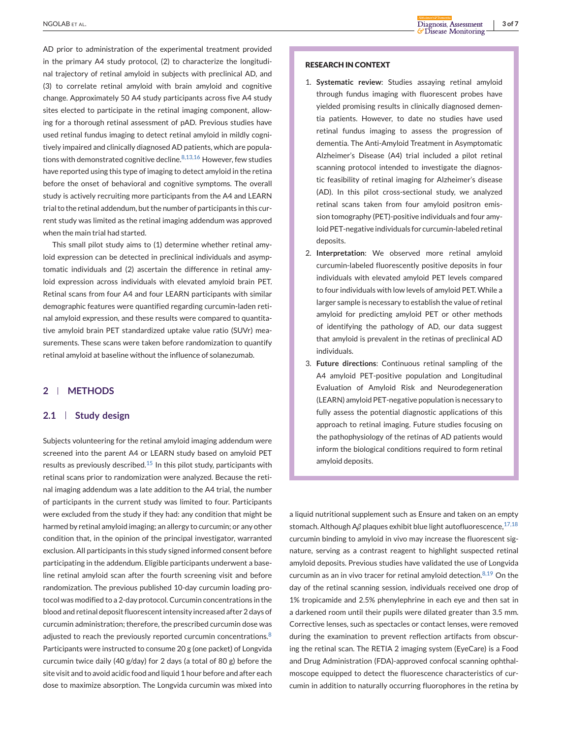AD prior to administration of the experimental treatment provided in the primary A4 study protocol, (2) to characterize the longitudinal trajectory of retinal amyloid in subjects with preclinical AD, and (3) to correlate retinal amyloid with brain amyloid and cognitive change. Approximately 50 A4 study participants across five A4 study sites elected to participate in the retinal imaging component, allowing for a thorough retinal assessment of pAD. Previous studies have used retinal fundus imaging to detect retinal amyloid in mildly cognitively impaired and clinically diagnosed AD patients, which are populations with demonstrated cognitive decline. $8,13,16$  However, few studies have reported using this type of imaging to detect amyloid in the retina before the onset of behavioral and cognitive symptoms. The overall study is actively recruiting more participants from the A4 and LEARN trial to the retinal addendum, but the number of participants in this current study was limited as the retinal imaging addendum was approved when the main trial had started.

This small pilot study aims to (1) determine whether retinal amyloid expression can be detected in preclinical individuals and asymptomatic individuals and (2) ascertain the difference in retinal amyloid expression across individuals with elevated amyloid brain PET. Retinal scans from four A4 and four LEARN participants with similar demographic features were quantified regarding curcumin-laden retinal amyloid expression, and these results were compared to quantitative amyloid brain PET standardized uptake value ratio (SUVr) measurements. These scans were taken before randomization to quantify retinal amyloid at baseline without the influence of solanezumab.

## **2 METHODS**

### **2.1 Study design**

Subjects volunteering for the retinal amyloid imaging addendum were screened into the parent A4 or LEARN study based on amyloid PET results as previously described.<sup>[15](#page-8-0)</sup> In this pilot study, participants with retinal scans prior to randomization were analyzed. Because the retinal imaging addendum was a late addition to the A4 trial, the number of participants in the current study was limited to four. Participants were excluded from the study if they had: any condition that might be harmed by retinal amyloid imaging; an allergy to curcumin; or any other condition that, in the opinion of the principal investigator, warranted exclusion. All participants in this study signed informed consent before participating in the addendum. Eligible participants underwent a baseline retinal amyloid scan after the fourth screening visit and before randomization. The previous published 10-day curcumin loading protocol was modified to a 2-day protocol. Curcumin concentrations in the blood and retinal deposit fluorescent intensity increased after 2 days of curcumin administration; therefore, the prescribed curcumin dose was adjusted to reach the previously reported curcumin concentrations.<sup>[8](#page-8-0)</sup> Participants were instructed to consume 20 g (one packet) of Longvida curcumin twice daily (40 g/day) for 2 days (a total of 80 g) before the site visit and to avoid acidic food and liquid 1 hour before and after each dose to maximize absorption. The Longvida curcumin was mixed into

### **RESEARCH IN CONTEXT**

- 1. **Systematic review**: Studies assaying retinal amyloid through fundus imaging with fluorescent probes have yielded promising results in clinically diagnosed dementia patients. However, to date no studies have used retinal fundus imaging to assess the progression of dementia. The Anti-Amyloid Treatment in Asymptomatic Alzheimer's Disease (A4) trial included a pilot retinal scanning protocol intended to investigate the diagnostic feasibility of retinal imaging for Alzheimer's disease (AD). In this pilot cross-sectional study, we analyzed retinal scans taken from four amyloid positron emission tomography (PET)-positive individuals and four amyloid PET-negative individuals for curcumin-labeled retinal deposits.
- 2. **Interpretation**: We observed more retinal amyloid curcumin-labeled fluorescently positive deposits in four individuals with elevated amyloid PET levels compared to four individuals with low levels of amyloid PET. While a larger sample is necessary to establish the value of retinal amyloid for predicting amyloid PET or other methods of identifying the pathology of AD, our data suggest that amyloid is prevalent in the retinas of preclinical AD individuals.
- 3. **Future directions**: Continuous retinal sampling of the A4 amyloid PET-positive population and Longitudinal Evaluation of Amyloid Risk and Neurodegeneration (LEARN) amyloid PET-negative population is necessary to fully assess the potential diagnostic applications of this approach to retinal imaging. Future studies focusing on the pathophysiology of the retinas of AD patients would inform the biological conditions required to form retinal amyloid deposits.

a liquid nutritional supplement such as Ensure and taken on an empty stomach. Although Aβ plaques exhibit blue light autofluorescence,<sup>[17,18](#page-8-0)</sup> curcumin binding to amyloid in vivo may increase the fluorescent signature, serving as a contrast reagent to highlight suspected retinal amyloid deposits. Previous studies have validated the use of Longvida curcumin as an in vivo tracer for retinal amyloid detection. $8,19$  On the day of the retinal scanning session, individuals received one drop of 1% tropicamide and 2.5% phenylephrine in each eye and then sat in a darkened room until their pupils were dilated greater than 3.5 mm. Corrective lenses, such as spectacles or contact lenses, were removed during the examination to prevent reflection artifacts from obscuring the retinal scan. The RETIA 2 imaging system (EyeCare) is a Food and Drug Administration (FDA)-approved confocal scanning ophthalmoscope equipped to detect the fluorescence characteristics of curcumin in addition to naturally occurring fluorophores in the retina by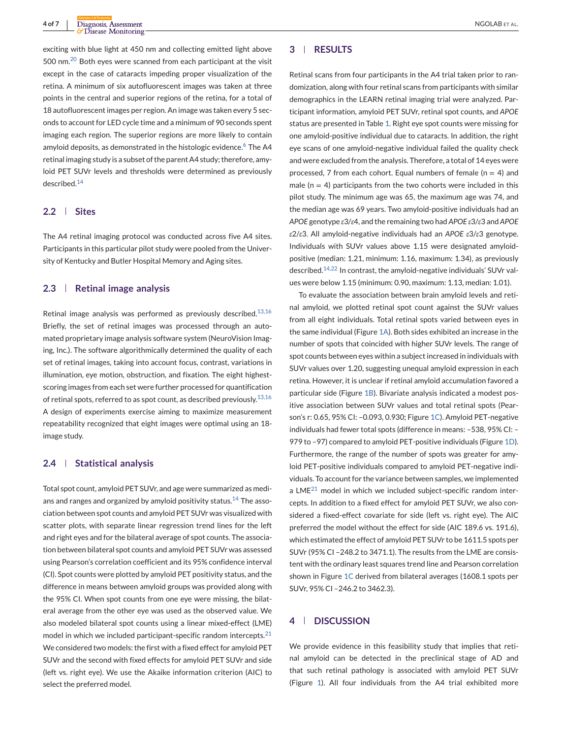exciting with blue light at 450 nm and collecting emitted light above 500 nm.<sup>[20](#page-8-0)</sup> Both eyes were scanned from each participant at the visit except in the case of cataracts impeding proper visualization of the retina. A minimum of six autofluorescent images was taken at three points in the central and superior regions of the retina, for a total of 18 autofluorescent images per region. An image was taken every 5 seconds to account for LED cycle time and a minimum of 90 seconds spent imaging each region. The superior regions are more likely to contain amyloid deposits, as demonstrated in the histologic evidence.<sup>[6](#page-8-0)</sup> The A4 retinal imaging study is a subset of the parent A4 study; therefore, amyloid PET SUVr levels and thresholds were determined as previously described.[14](#page-8-0)

#### **2.2 Sites**

The A4 retinal imaging protocol was conducted across five A4 sites. Participants in this particular pilot study were pooled from the University of Kentucky and Butler Hospital Memory and Aging sites.

#### **2.3 Retinal image analysis**

Retinal image analysis was performed as previously described. $13,16$ Briefly, the set of retinal images was processed through an automated proprietary image analysis software system (NeuroVision Imaging, Inc.). The software algorithmically determined the quality of each set of retinal images, taking into account focus, contrast, variations in illumination, eye motion, obstruction, and fixation. The eight highestscoring images from each set were further processed for quantification of retinal spots, referred to as spot count, as described previously.  $13,16$ A design of experiments exercise aiming to maximize measurement repeatability recognized that eight images were optimal using an 18 image study.

## **2.4 Statistical analysis**

Total spot count, amyloid PET SUVr, and age were summarized as medi-ans and ranges and organized by amyloid positivity status.<sup>[14](#page-8-0)</sup> The association between spot counts and amyloid PET SUVr was visualized with scatter plots, with separate linear regression trend lines for the left and right eyes and for the bilateral average of spot counts. The association between bilateral spot counts and amyloid PET SUVr was assessed using Pearson's correlation coefficient and its 95% confidence interval (CI). Spot counts were plotted by amyloid PET positivity status, and the difference in means between amyloid groups was provided along with the 95% CI. When spot counts from one eye were missing, the bilateral average from the other eye was used as the observed value. We also modeled bilateral spot counts using a linear mixed-effect (LME) model in which we included participant-specific random intercepts. $21$ We considered two models: the first with a fixed effect for amyloid PET SUVr and the second with fixed effects for amyloid PET SUVr and side (left vs. right eye). We use the Akaike information criterion (AIC) to select the preferred model.

#### **3 RESULTS**

Retinal scans from four participants in the A4 trial taken prior to randomization, along with four retinal scans from participants with similar demographics in the LEARN retinal imaging trial were analyzed. Participant information, amyloid PET SUVr, retinal spot counts, and *APOE* status are presented in Table [1.](#page-6-0) Right eye spot counts were missing for one amyloid-positive individual due to cataracts. In addition, the right eye scans of one amyloid-negative individual failed the quality check and were excluded from the analysis. Therefore, a total of 14 eyes were processed, 7 from each cohort. Equal numbers of female ( $n = 4$ ) and male ( $n = 4$ ) participants from the two cohorts were included in this pilot study. The minimum age was 65, the maximum age was 74, and the median age was 69 years. Two amyloid-positive individuals had an *APOE* genotype *ε*3/*ε*4, and the remaining two had *APOE ε*3/*ε*3 and *APOE ε*2/*ε*3. All amyloid-negative individuals had an *APOE ε*3/*ε*3 genotype. Individuals with SUVr values above 1.15 were designated amyloidpositive (median: 1.21, minimum: 1.16, maximum: 1.34), as previously described.[14,22](#page-8-0) In contrast, the amyloid-negative individuals' SUVr values were below 1.15 (minimum: 0.90, maximum: 1.13, median: 1.01).

To evaluate the association between brain amyloid levels and retinal amyloid, we plotted retinal spot count against the SUVr values from all eight individuals. Total retinal spots varied between eyes in the same individual (Figure [1A\)](#page-7-0). Both sides exhibited an increase in the number of spots that coincided with higher SUVr levels. The range of spot counts between eyes within a subject increased in individuals with SUVr values over 1.20, suggesting unequal amyloid expression in each retina. However, it is unclear if retinal amyloid accumulation favored a particular side (Figure [1B\)](#page-7-0). Bivariate analysis indicated a modest positive association between SUVr values and total retinal spots (Pearson's r: 0.65, 95% CI: –0.093, 0.930; Figure [1C\)](#page-7-0). Amyloid PET-negative individuals had fewer total spots (difference in means: –538, 95% CI: – 979 to -97) compared to amyloid PET-positive individuals (Figure [1D\)](#page-7-0). Furthermore, the range of the number of spots was greater for amyloid PET-positive individuals compared to amyloid PET-negative individuals. To account for the variance between samples, we implemented a LME $^{21}$  $^{21}$  $^{21}$  model in which we included subject-specific random intercepts. In addition to a fixed effect for amyloid PET SUVr, we also considered a fixed-effect covariate for side (left vs. right eye). The AIC preferred the model without the effect for side (AIC 189.6 vs. 191.6), which estimated the effect of amyloid PET SUVr to be 1611.5 spots per SUVr (95% CI –248.2 to 3471.1). The results from the LME are consistent with the ordinary least squares trend line and Pearson correlation shown in Figure [1C](#page-7-0) derived from bilateral averages (1608.1 spots per SUVr, 95% CI –246.2 to 3462.3).

## **4 DISCUSSION**

We provide evidence in this feasibility study that implies that retinal amyloid can be detected in the preclinical stage of AD and that such retinal pathology is associated with amyloid PET SUVr (Figure [1\)](#page-7-0). All four individuals from the A4 trial exhibited more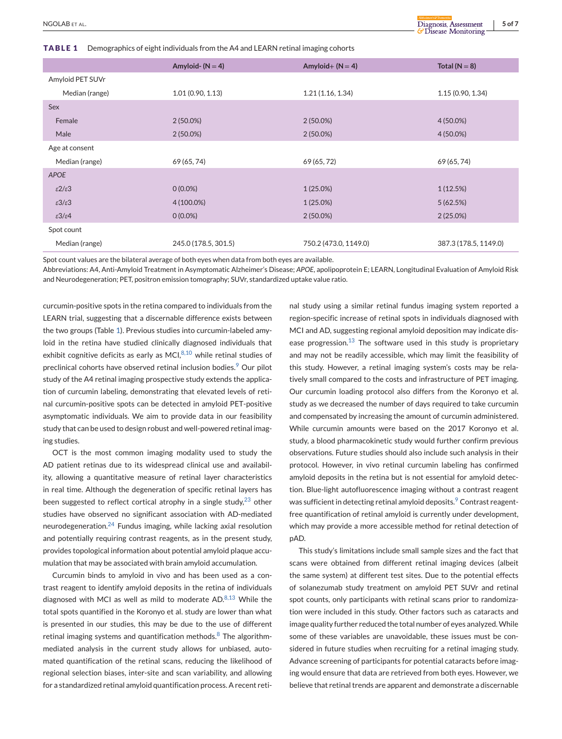<span id="page-6-0"></span>**TABLE 1** Demographics of eight individuals from the A4 and LEARN retinal imaging cohorts

|                            | Amyloid- $(N = 4)$   | Amyloid + $(N = 4)$   | Total ( $N = 8$ )     |
|----------------------------|----------------------|-----------------------|-----------------------|
| Amyloid PET SUVr           |                      |                       |                       |
| Median (range)             | 1.01(0.90, 1.13)     | 1.21(1.16, 1.34)      | 1.15(0.90, 1.34)      |
| Sex                        |                      |                       |                       |
| Female                     | $2(50.0\%)$          | $2(50.0\%)$           | 4 (50.0%)             |
| Male                       | $2(50.0\%)$          | $2(50.0\%)$           | $4(50.0\%)$           |
| Age at consent             |                      |                       |                       |
| Median (range)             | 69 (65, 74)          | 69 (65, 72)           | 69 (65, 74)           |
| <b>APOE</b>                |                      |                       |                       |
| $\epsilon$ 2/ $\epsilon$ 3 | $0(0.0\%)$           | $1(25.0\%)$           | 1(12.5%)              |
| $\epsilon 3/\epsilon 3$    | 4 (100.0%)           | $1(25.0\%)$           | 5(62.5%)              |
| $\epsilon 3/\epsilon 4$    | $0(0.0\%)$           | $2(50.0\%)$           | $2(25.0\%)$           |
| Spot count                 |                      |                       |                       |
| Median (range)             | 245.0 (178.5, 301.5) | 750.2 (473.0, 1149.0) | 387.3 (178.5, 1149.0) |

Spot count values are the bilateral average of both eyes when data from both eyes are available.

Abbreviations: A4, Anti-Amyloid Treatment in Asymptomatic Alzheimer's Disease; *APOE*, apolipoprotein E; LEARN, Longitudinal Evaluation of Amyloid Risk and Neurodegeneration; PET, positron emission tomography; SUVr, standardized uptake value ratio.

curcumin-positive spots in the retina compared to individuals from the LEARN trial, suggesting that a discernable difference exists between the two groups (Table 1). Previous studies into curcumin-labeled amyloid in the retina have studied clinically diagnosed individuals that exhibit cognitive deficits as early as MCI $<sup>8,10</sup>$  $<sup>8,10</sup>$  $<sup>8,10</sup>$  while retinal studies of</sup> preclinical cohorts have observed retinal inclusion bodies.<sup>[9](#page-8-0)</sup> Our pilot study of the A4 retinal imaging prospective study extends the application of curcumin labeling, demonstrating that elevated levels of retinal curcumin-positive spots can be detected in amyloid PET-positive asymptomatic individuals. We aim to provide data in our feasibility study that can be used to design robust and well-powered retinal imaging studies.

OCT is the most common imaging modality used to study the AD patient retinas due to its widespread clinical use and availability, allowing a quantitative measure of retinal layer characteristics in real time. Although the degeneration of specific retinal layers has been suggested to reflect cortical atrophy in a single study, $23$  other studies have observed no significant association with AD-mediated neurodegeneration.[24](#page-8-0) Fundus imaging, while lacking axial resolution and potentially requiring contrast reagents, as in the present study, provides topological information about potential amyloid plaque accumulation that may be associated with brain amyloid accumulation.

Curcumin binds to amyloid in vivo and has been used as a contrast reagent to identify amyloid deposits in the retina of individuals diagnosed with MCI as well as mild to moderate AD.[8,13](#page-8-0) While the total spots quantified in the Koronyo et al. study are lower than what is presented in our studies, this may be due to the use of different retinal imaging systems and quantification methods. $8$  The algorithmmediated analysis in the current study allows for unbiased, automated quantification of the retinal scans, reducing the likelihood of regional selection biases, inter-site and scan variability, and allowing for a standardized retinal amyloid quantification process. A recent retinal study using a similar retinal fundus imaging system reported a region-specific increase of retinal spots in individuals diagnosed with MCI and AD, suggesting regional amyloid deposition may indicate dis-ease progression.<sup>[13](#page-8-0)</sup> The software used in this study is proprietary and may not be readily accessible, which may limit the feasibility of this study. However, a retinal imaging system's costs may be relatively small compared to the costs and infrastructure of PET imaging. Our curcumin loading protocol also differs from the Koronyo et al. study as we decreased the number of days required to take curcumin and compensated by increasing the amount of curcumin administered. While curcumin amounts were based on the 2017 Koronyo et al. study, a blood pharmacokinetic study would further confirm previous observations. Future studies should also include such analysis in their protocol. However, in vivo retinal curcumin labeling has confirmed amyloid deposits in the retina but is not essential for amyloid detection. Blue-light autofluorescence imaging without a contrast reagent was sufficient in detecting retinal amyloid deposits.<sup>[9](#page-8-0)</sup> Contrast reagentfree quantification of retinal amyloid is currently under development, which may provide a more accessible method for retinal detection of pAD.

This study's limitations include small sample sizes and the fact that scans were obtained from different retinal imaging devices (albeit the same system) at different test sites. Due to the potential effects of solanezumab study treatment on amyloid PET SUVr and retinal spot counts, only participants with retinal scans prior to randomization were included in this study. Other factors such as cataracts and image quality further reduced the total number of eyes analyzed.While some of these variables are unavoidable, these issues must be considered in future studies when recruiting for a retinal imaging study. Advance screening of participants for potential cataracts before imaging would ensure that data are retrieved from both eyes. However, we believe that retinal trends are apparent and demonstrate a discernable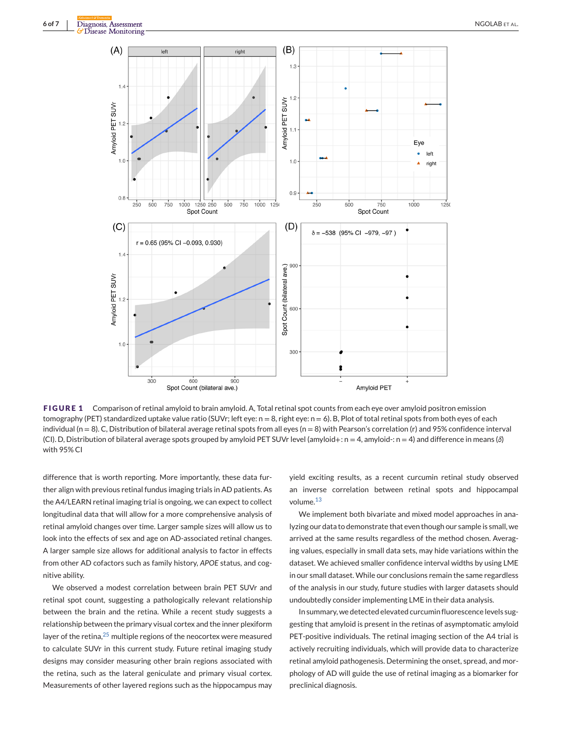<span id="page-7-0"></span>

**FIGURE 1** Comparison of retinal amyloid to brain amyloid. A, Total retinal spot counts from each eye over amyloid positron emission tomography (PET) standardized uptake value ratio (SUVr; left eye: n = 8, right eye: n = 6). B, Plot of total retinal spots from both eyes of each individual ( $n = 8$ ). C, Distribution of bilateral average retinal spots from all eyes ( $n = 8$ ) with Pearson's correlation (r) and 95% confidence interval (CI). D, Distribution of bilateral average spots grouped by amyloid PET SUVr level (amyloid+: n = 4, amyloid-: n = 4) and difference in means (*δ*) with 95% CI

difference that is worth reporting. More importantly, these data further align with previous retinal fundus imaging trials in AD patients. As the A4/LEARN retinal imaging trial is ongoing, we can expect to collect longitudinal data that will allow for a more comprehensive analysis of retinal amyloid changes over time. Larger sample sizes will allow us to look into the effects of sex and age on AD-associated retinal changes. A larger sample size allows for additional analysis to factor in effects from other AD cofactors such as family history, *APOE* status, and cognitive ability.

We observed a modest correlation between brain PET SUVr and retinal spot count, suggesting a pathologically relevant relationship between the brain and the retina. While a recent study suggests a relationship between the primary visual cortex and the inner plexiform layer of the retina, $25$  multiple regions of the neocortex were measured to calculate SUVr in this current study. Future retinal imaging study designs may consider measuring other brain regions associated with the retina, such as the lateral geniculate and primary visual cortex. Measurements of other layered regions such as the hippocampus may

yield exciting results, as a recent curcumin retinal study observed an inverse correlation between retinal spots and hippocampal volume.<sup>[13](#page-8-0)</sup>

We implement both bivariate and mixed model approaches in analyzing our data to demonstrate that even though our sample is small, we arrived at the same results regardless of the method chosen. Averaging values, especially in small data sets, may hide variations within the dataset. We achieved smaller confidence interval widths by using LME in our small dataset. While our conclusions remain the same regardless of the analysis in our study, future studies with larger datasets should undoubtedly consider implementing LME in their data analysis.

In summary, we detected elevated curcumin fluorescence levels suggesting that amyloid is present in the retinas of asymptomatic amyloid PET-positive individuals. The retinal imaging section of the A4 trial is actively recruiting individuals, which will provide data to characterize retinal amyloid pathogenesis. Determining the onset, spread, and morphology of AD will guide the use of retinal imaging as a biomarker for preclinical diagnosis.